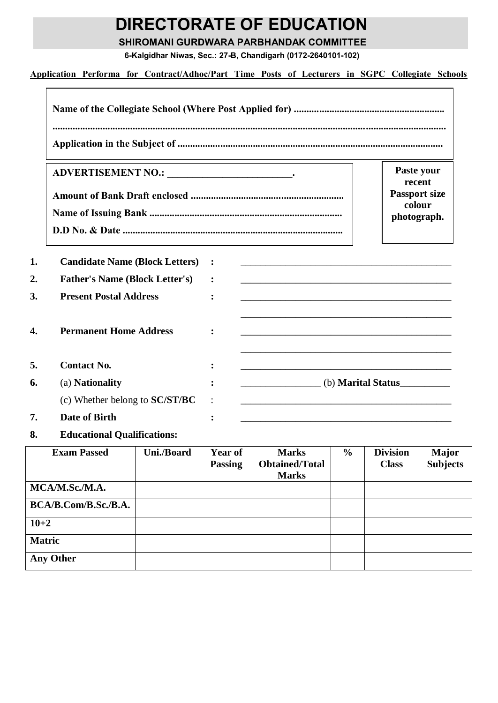## **DIRECTORATE OF EDUCATION**

**SHIROMANI GURDWARA PARBHANDAK COMMITTEE**

**6-Kalgidhar Niwas, Sec.: 27-B, Chandigarh (0172-2640101-102)**

**Application Performa for Contract/Adhoc/Part Time Posts of Lecturers in SGPC Collegiate Schools**

|                                       |                                                                                                                         | Paste your  |
|---------------------------------------|-------------------------------------------------------------------------------------------------------------------------|-------------|
|                                       | recent<br><b>Passport size</b><br>colour                                                                                |             |
|                                       |                                                                                                                         | photograph. |
| <b>Candidate Name (Block Letters)</b> | <u> 1980 - Johann John Stone, mars and de finland and de finland and de finland and definition of the second second</u> |             |
| <b>Father's Name (Block Letter's)</b> | and the control of the control of the control of the control of the control of the control of the control of the        |             |
| <b>Present Postal Address</b>         |                                                                                                                         |             |
| <b>Permanent Home Address</b>         |                                                                                                                         |             |
| <b>Contact No.</b>                    |                                                                                                                         |             |
| (a) Nationality                       | (b) <b>Marital Status</b>                                                                                               |             |
| (c) Whether belong to <b>SC/ST/BC</b> |                                                                                                                         |             |
|                                       |                                                                                                                         |             |

| <b>Exam Passed</b>   | Uni./Board | Year of        | <b>Marks</b>          | $\frac{6}{9}$ | <b>Division</b> | <b>Major</b>    |
|----------------------|------------|----------------|-----------------------|---------------|-----------------|-----------------|
|                      |            | <b>Passing</b> | <b>Obtained/Total</b> |               | <b>Class</b>    | <b>Subjects</b> |
|                      |            |                | <b>Marks</b>          |               |                 |                 |
| MCA/M.Sc./M.A.       |            |                |                       |               |                 |                 |
| BCA/B.Com/B.Sc./B.A. |            |                |                       |               |                 |                 |
| $10 + 2$             |            |                |                       |               |                 |                 |
| <b>Matric</b>        |            |                |                       |               |                 |                 |
| <b>Any Other</b>     |            |                |                       |               |                 |                 |